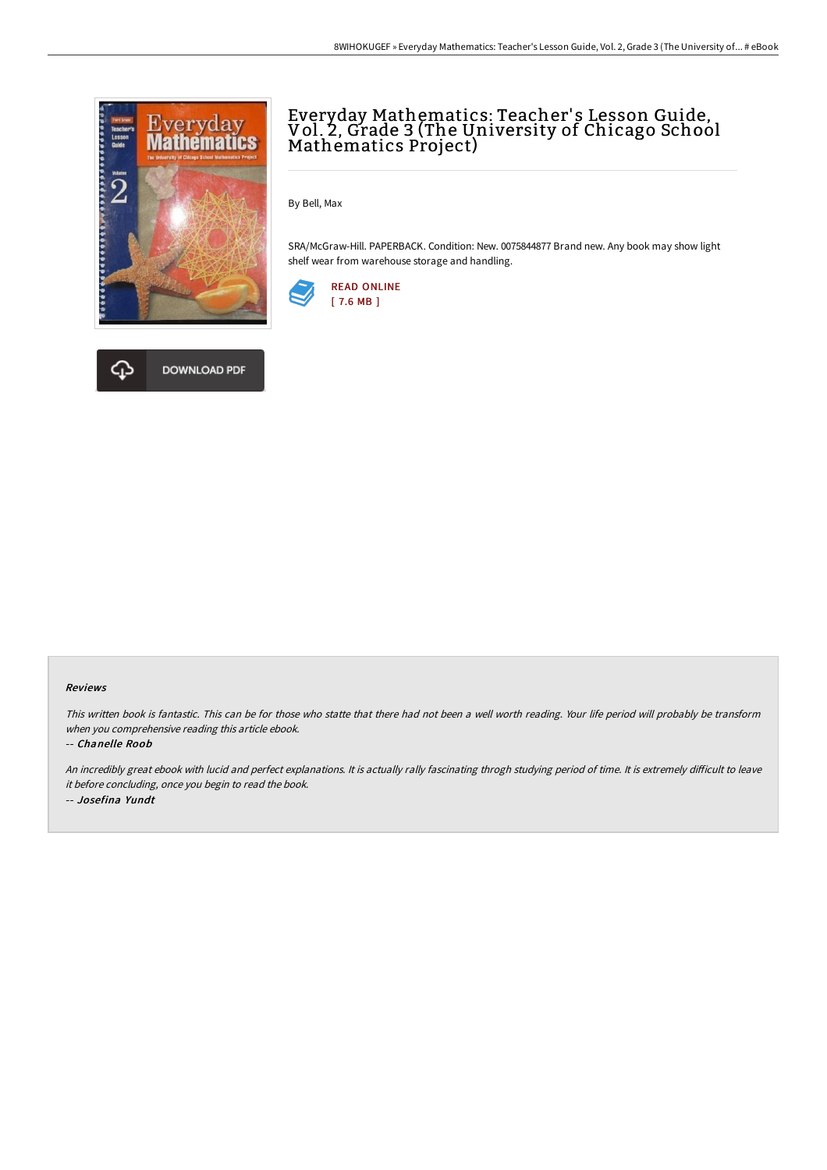



By Bell, Max

SRA/McGraw-Hill. PAPERBACK. Condition: New. 0075844877 Brand new. Any book may show light shelf wear from warehouse storage and handling.





## Reviews

This written book is fantastic. This can be for those who statte that there had not been <sup>a</sup> well worth reading. Your life period will probably be transform when you comprehensive reading this article ebook.

## -- Chanelle Roob

An incredibly great ebook with lucid and perfect explanations. It is actually rally fascinating throgh studying period of time. It is extremely difficult to leave it before concluding, once you begin to read the book. -- Josefina Yundt